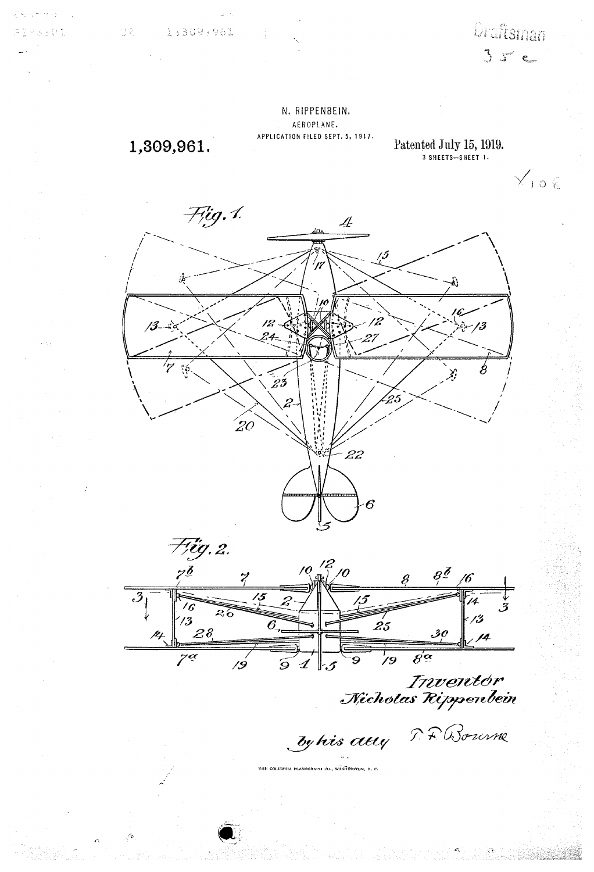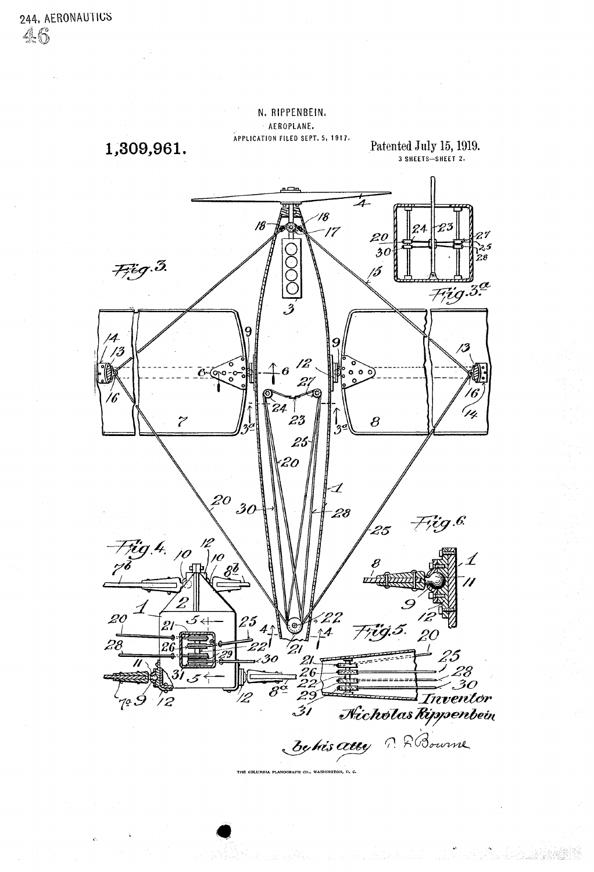

THE COLUMBIA PLANOGRAPH CO., WASHINGTON, D. C.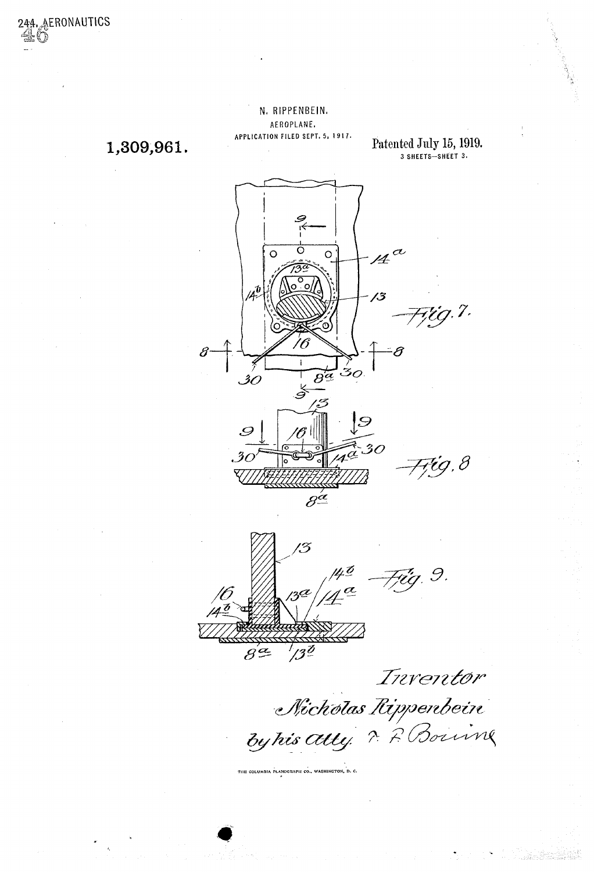1,309,961.

244. **AERONAUTICS** 

Patented July 15, 1919.<br>3 SHEETS-SHEET 3.

a Tanggunian



THE COLUMBIA PLANOGRAPH CO., WASHINGTON, D. C.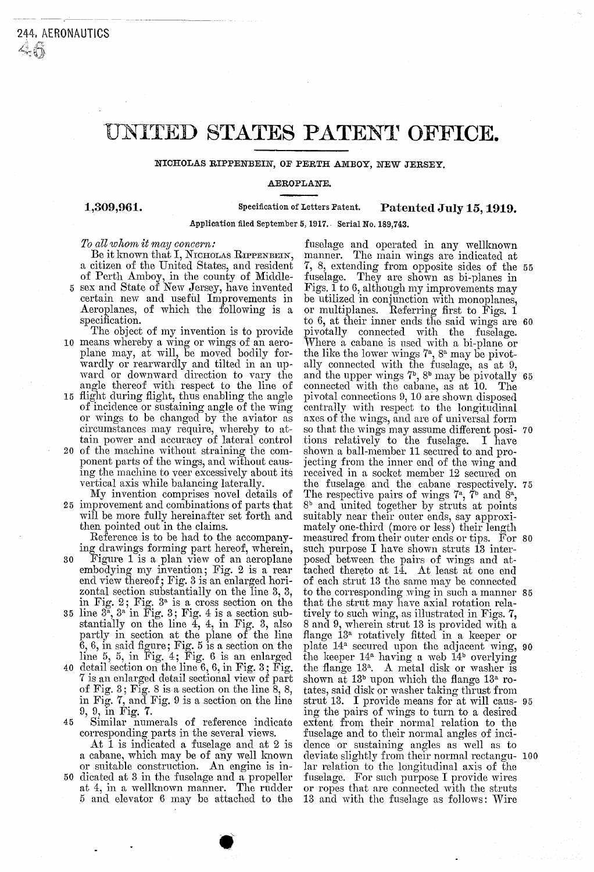## UNITED STATES PATENT OFFICE.

NICHOLAS RIPPENBEIN, OF PERTH AMBOY, NEW JERSEY.

## AEROPLANTE.

1,309,961. Specification of Letters Patent. Patented July 15, 1919.

Application filed September 5, 1917. - Serial No. 189,743.

## To all whom it may concern:

Be it known that I, NICHOLAS RIPPENBEIN,<br>a citizen of the United States, and resident

- of Perth Amboy, in the county of Middle-5 sex and State of New Jersey, have invented certain new and useful Improvements in Aeroplanes, of which the following is a specification.<br>The object of my invention is to provide
- 10 means whereby a wing or wings of an aero plane may, at will, be moved bodily for wardly or rearwardly and tilted in an up-<br>ward or downward direction to vary the
- 15 angle thereof with respect to the line of flight during flight, thus enabling the angle of incidence or sustaining angle of the wing or wings to be changed by the aviator as circumstances may require, whereby to at tain power and accuracy of lateral control
- 20 of the machine without straining the component parts of the wings, and without causing the machine to veer excessively about its vertical axis while balancing laterally.<br>My invention comprises novel details of improvement and combinations of parts that
- will be more fully hereinafter set forth and<br>then pointed out in the claims.<br>Reference is to be had to the accompany-

- 30 Reference is to be had to the accompany-<br>ing drawings forming part hereof, wherein,<br>Figure 1 is a plan view of an aeroplane<br>embodying my invention; Fig. 2 is a rear end view thereof; Fig. 3 is an enlarged hori
- 35 zontal section substantially on the line  $3, 3,$  in Fig.  $2$ ; Fig.  $3^a$  is a cross section on the line  $3^a$ ,  $3^a$  in Fig. 3; Fig. 4 is a section substantially on the line 4, 4, in Fig. 3, also partly in section at the plane of the line
- 40 6, 6, in said ingure; Fig. 5 is a section on the<br>line 5, 5, in Fig. 4; Fig. 6 is an enlarged<br>detail section on the line 6, 6, in Fig. 3; Fig.<br>7 is an enlarged detail sectional view of part<br>of Fig. 3; Fig. 8 is a section o
- 45 Similar numerals of reference indicate corresponding parts in the several views.

or suitable construction. An engine is in-<br>50 dicated at 3 in the fuselage and a propeller At 1 is indicated a fuselage and at 2 is a cabane, which may be of any well known<br>or suitable construction. An engine is inat 4, in a wellknown manner. The rudder 5 and elevator 6 may be attached to the

fuselage and operated in any wellknown<br>manner. The main wings are indicated at fuselage. They are shown as bi-planes in<br>Figs. 1 to 6, although my improvements may<br>be utilized in conjunction with monoplanes, or multiplanes. Referring first to Figs. 1 pivotally connected with the fuselage.<br>Where a cabane is used with a bi-plane or<br>the like the lower wings  $7^a$ ,  $8^a$  may be pivot-<br>ally connected with the fuselage, as at 9,<br>and the upper wings  $7^b$ ,  $8^b$  may be pivot axes of the wings, and are of universal form so that the wings may assume different posi- 70 tions relatively to the fuselage. I have shown a ball-member 11 secured to and projecting from the inner end of the wing and received in a socket member 12 secured on The respective pairs of wings  $7^a$ ,  $7^b$  and  $8^a$ ,  $8^b$  and united together by struts at points suitably near their outer ends, say approximately one-third (more or less) their length measured from their outer ends or posed between the pairs of wings and attached thereto at  $14$ . At least at one end of each strut 13 the same may be connected to the corresponding wing in such a manner 85 that the strut may have axial rotation rela-<br>tively to such wing, as illustrated in Figs. 7,<br>8 and 9, wherein strut 13 is provided with a<br>flange 13<sup>a</sup> rotatively fitted in a keeper or<br>plate 14<sup>a</sup> secured upon the adjacent shown at  $13<sup>b</sup>$  upon which the flange  $13<sup>a</sup>$  rotates, said disk or washer taking thrust from ing the pairs of wings to turn to a desired extent from their normal relation to the fuselage and to their normal angles of inci deviate slightly from their normal rectangular relation to the longitudinal axis of the fuselage. For such purpose I provide wires or ropes that are connected with the struts 13 and with the fuselage as follows: Wire 7, 8, extending from opposite sides of the 55 to 6, at their inner ends the said wings are 60 and the upper wings  $7<sup>b</sup>$ ,  $8<sup>b</sup>$  may be pivotally 65 the fuselage and the cabane respectively. 75 measured from their outer ends or tips. For 80 plate 14<sup>ª</sup> secured upon the adjacent wing, 90 strut 13. I provide means for at will caus- 95 LUU 1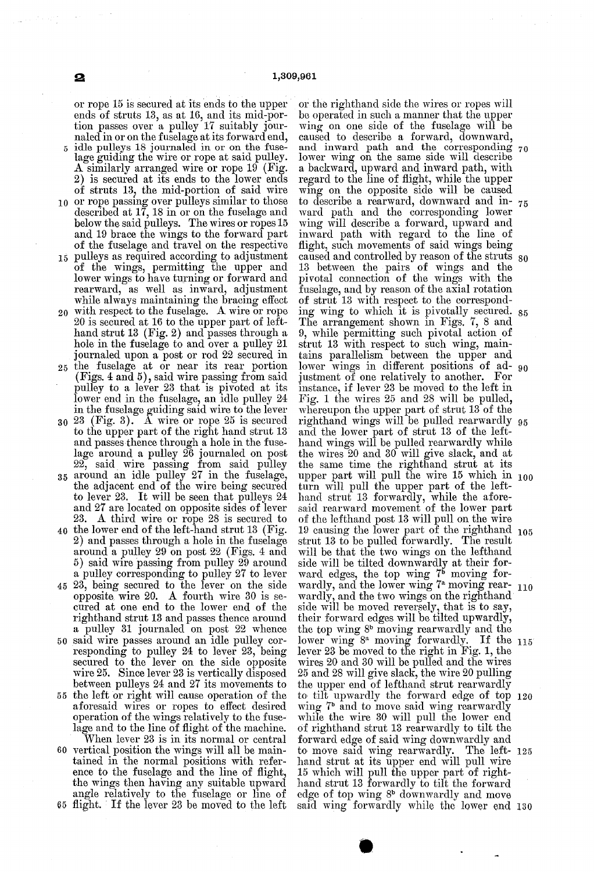0 or rope passing over pulleys similar to those 15 pulleys as required according to adjustment 20 with respect to the fuselage. A wire or rope 25  $30\,23\,$  (Fig. 3). A wire or rope 25 is secured 35 40 the lower end of the left-hand strut 13 (Fig. 45 23, being secured to the lever on the side 50 said wire passes around an idle pulley cor-55 the left or right will cause operation of the 60 vertical position the wings will all be main or rope 15 is secured at its ends to the upper<br>ends of struts 13, as at 16, and its mid-por-<br>tion passes over a pulley 17 suitably jour-<br>naled in or on the fuselage at its forward end,<br>idle pulleys 18 journaled in or on t described at 17, 18 in or on the fuselage and below the said pulleys. The wires or ropes 15 and 19 brace the wings to the forward part and 19 brace the wings to the forward part of the fuselage and travel on the respective pulleys as required according to adjustment of the wings, permitting the upper and lower wings to have turning or forward and rearward, as well as inward, adjustment while always maintaining the bracing effect 20 is secured at 16 to the upper part of left-<br>hand strut 13 (Fig. 2) and passes through a<br>hole in the fuselage to and over a pulley 21 hole in the fuselage to and over a pulley 21 journaled upon a post or rod 22 Secured in the fuselage at or near its rear portion (Figs. 4 and 5), said wire passing from said pulley to a lever 23 that is pivoted at its lower end in the fuselage, an idle pulley 24 in the fuselage guiding said wire to the lever to the upper part of the right hand strut 13 and passes thence through a hole in the fuse-<br>lage around a pulley 26 journaled on post<br>22, said wire passing from said pulley<br>around an idle pulley 27 in the fuselage,<br>the adjacent end of the wire being secured to lever 23. It will be seen that pulleys 24 and 27 are located on opposite sides of lever 23. A third wire or rope 28 is secured to 2) and passes through a hole in the fuselage around a pulley 29 on post 22 (Figs. 4 and 5) said wire passing from pulley 29 around a pulley corresponding to pulley 27 to lever opposite wire  $20.$  A fourth wire  $30$  is secured at one end to the lower end of the righthand strut 13 and passes thence around a pulley 31 journaled on post 22 whence responding to pulley  $24$  to lever  $23$ , being secured to the lever on the side opposite wire  $25$ . Since lever  $23$  is vertically disposed between pulleys  $24$  and  $27$  its movements to aforesaid wires or ropes to effect desired operation of the wings relatively to the fuse lage and to the line of flight of the machine. When lever 23 is in its normal or central tained in the normal positions with reference to the fuselage and the line of flight, the wings then having any suitable upward angle relatively to the fuselage or line of

or the righthand side the wires or ropes will<br>be operated in such a manner that the upper wing on one side of the fuselage will be caused to describe a forward, downward, caused to describe a forward, downward, and inward path and the corresponding lower wing on the same side will describe a backward, upward and inward path, with regard to the line of flight, while the upper wing on the opposite side will be caused ward path and the corresponding lower<br>wing will describe a forward, upward and inward path with regard to the line of flight, such movements of said wings being 13 between the pairs of wings and the pivotal connection of the wings with the of strut 13 with respect to the corresponding wing to which it is pivotally secured.<br>The arrangement shown in Figs. 7, 8 and 9, while permitting such pivotal action of strut 13 with respect to such wing, main tains parallelism between the upper and lower wings in different positions of ad- <sub>90</sub><br>justment of one relatively to another. For instance, if lever 23 be moved to the left in<br>Fig. 1 the wires 25 and 28 will be pulled,<br>whereupon the upper part of strut 13 of the<br>righthand wings will be pulled rearwardly<br>and the lower part of strut 13 of the left-<br>han the wires 20 and 30 will give slack, and at the same time the righthand strut at its upper part will pull the wire 15 which in 100 turn will pull the upper part of the left hand strut 13 forwardly, while the afore-<br>said rearward movement of the lower part said rearward movement of the lower part of the lefthand post 13 will pull on the wire 19 causing the lower part of the righthand strut 13 to be pulled forwardly. The result will be that the two wings on the lefthand side will be tilted downwardly at their forward edges, the top wing  $7<sup>b</sup>$  moving forwardly, and the lower wing  $\binom{a}{1}$  moving rear-  $110$ wardly, and the two wings on the righthand side will be moved reversely, that is to say, their forward edges will be tilted upwardly, the top wing  $8^b$  moving rearwardly and the lower wing 8<sup>ª</sup> moving forwardly. It the 115 wires 20 and 30 will be pulled and the wires 25 and 28 will give slack, the wire 20 pulling 29 and 28 will give slack, the wire 20 pulling<br>the upper end of lefthand strut rearwardly<br>to tilt upwardly the forward edge of top<br>wing 7<sup>6</sup> and to move said wing rearwardly<br>while the wire 30 will pull the lower end<br>of rig forward edge of said wing downwardly and to move said wing rearwardly. The left hand strut at its upper end will pull wire 15 which will pull the upper part of right-<br>hand strut 13 forwardly to tilt the forward<br>edge of top wing  $8<sup>b</sup>$  downwardly and move said wing forwardly while the lower end 30 and inward path and the corresponding 70 to describe a rearward, downward and in- 75 caused and controlled by reason of the struts 80 ing wing to which it is pivotally secured. 85 righthand wings will be pulled rearwardly 95 05 120 25

65 flight. If the lever 23 be moved to the left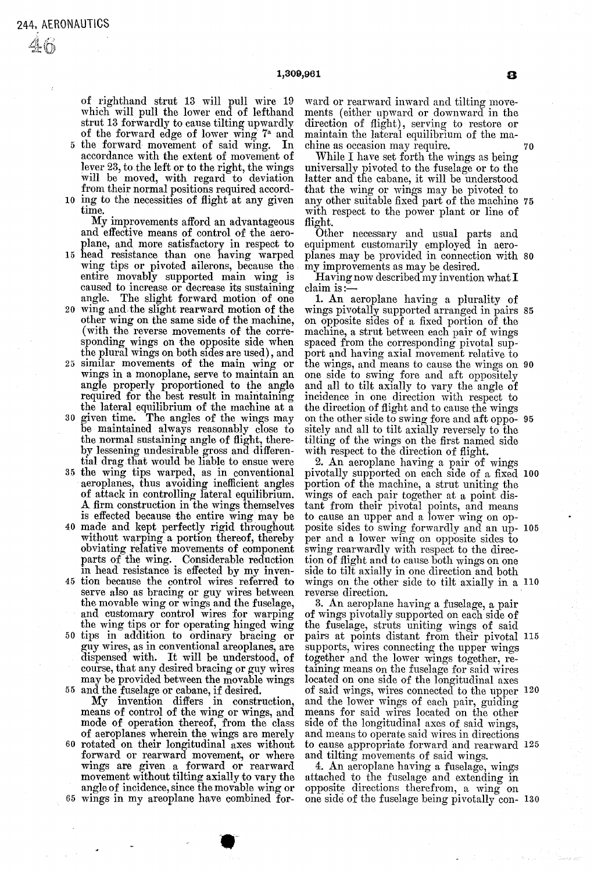$\mathcal{A}$  (t)

of righthand strut 13 will pull wire 19 which will pull the lower end of lefthand<br>strut 13 forwardly to cause tilting upwardly of the forward edge of lower wing  $7<sup>°</sup>$  and  $5$  the forward movement of said wing. In accordance with the extent of movement of<br>lever 23, to the left or to the right, the wings

10 ing to the necessities of flight at any given will be moved, with regard to deviation<br>from their normal positions required accord-<br>ing to the necessities of flight at any given<br>time.<br>My improvements afford an advantageous

15 head resistance than one having warped and effective means of control of the aeroplane, and more satisfactory in respect to wing tips or pivoted ailerons, because the entire movably supported main wing is caused to increase or decrease its sustaining

- 20 wing and the slight rearward motion of the angle. The slight forward motion of one<br>wing and the slight rearward motion of the<br>other wing on the same side of the machine,<br>(with the reverse movements of the corre-<br>sponding wings on the opposite side when
- 30 the plural wings on both sides are used), and<br>25 similar movements of the main wing or wings in a monoplane, serve to maintain an<br>angle properly proportioned to the angle<br>required for the best result in maintaining<br>the lateral equilibrium of the machine at a<br>given time. The angles of the wings may<br>be maintai
- 
- 35 the wing tips warped, as in conventional<br>aeroplanes, thus avoiding inefficient angles
- 40 made and kept perfectly rigid throughout 45 tion because the control wires referred to<br>serve also as bracing or guy wires between of attack in controlling lateral equilibrium.<br>A firm construction in the wings themselves<br>is effected because the entire wing may be<br>made and kept perfectly rigid throughout<br>without warping a portion thereof, thereby<br>obvia
- 50 tips in addition to ordinary bracing or the movable wing or wings and the fuselage, and customary control wires for warping the wing tips or for operating hinged wing tips in addition to ordinary bracing or guy wires, as in conventional areoplanes, are
- 55 may be provided between the movable wings and the fuselage or cabane, if desired. dispensed with. It will be understood, of course, that any desired bracing or guy wires
- mode of operation thereof, from the class<br>of aeroplanes wherein the wings are merely<br>60 rotated on their longitudinal axes without My invention differs in construction, means of control of the wing or wings, and<br>mode of operation thereof, from the class
- 65 angle of incidence, since the movable wing or wings in my areoplane have combined for wings are given a forward or rearward movement without tilting axially to vary the<br>angle of incidence, since the movable wing or

ward or rearward inward and tilting move direction of flight), serving to restore or maintain the lateral equilibrium of the ma-

chine as occasion may require.<br>While I have set forth the wings as being universally pivoted to the fuselage or to the latter and the cabane, it will be understood that the wing or wings may be pivoted to any other suitable fixed part of the machine 75

with respect to the power plant or line of<br>flight. Other necessary and usual parts and<br>equipment customarily employed in aeroplanes may be provided in connection with 80 my improvements as may be desired.

Having now described my invention what I<br>claim is:--<br>1. An aeroplane having a plurality of

1. An aeroplane having a plurality of wings pivotally supported arranged in pairs 85 on opposite sides of a fixed portion of the machine, a strut between each pair of wings spaced from the corresponding pivotal support and having axial movement relative to port and having axial movement relative to<br>the wings, and means to cause the wings on 90 one side to swing fore and aft oppositely and all to tilt axially to vary the angle of the direction of flight and to cause the wings sitely and all to tilt axially reversely to the<br>tilting of the wings on the first named side<br>with respect to the direction of flight.<br>2. An aeroplane having a pair of wings<br>pivotally supported on each side of a fixed<br>porti on the other side to swing fore and aft oppo- 95

wings of each pair together at a point distant from their pivotal points, and means to cause an upper and a lower wing on opto cause an upper and a lower wing on op-<br>posite sides to swing forwardly and an up- 105 per and a lower wing on opposite sides to swing rearwardly with respect to the direc tion of flight and to cause both wings on one<br>side to tilt axially in one direction and both side to tilt axially in one direction and both<br>wings on the other side to tilt axially in a 110 reverse direction.<br>3. An aeroplane having a fuselage, a pair pivotally supported on each side of a fixed 100

of wings pivotally supported on each side of<br>the fuselage, struts uniting wings of said pairs at points distant from their pivotal 115 supports, wires connecting the upper wings together, retaining means on the fuselage for said wires located on one side of the longitudinal axes and the lower wings of each pair, guiding means for said wires located on the other side of the longitudinal axes of said wings. and means to operate said wires in directions of said wings, wires connected to the upper 120 to cause appropriate forward and rearward 125

and tilting movements of said wings.<br>4. An aeroplane having a fuselage, wings<br>attached to the fuselage and extending in<br>opposite directions therefrom, a wing on one side of the fuselage being pivotally con- 130

70